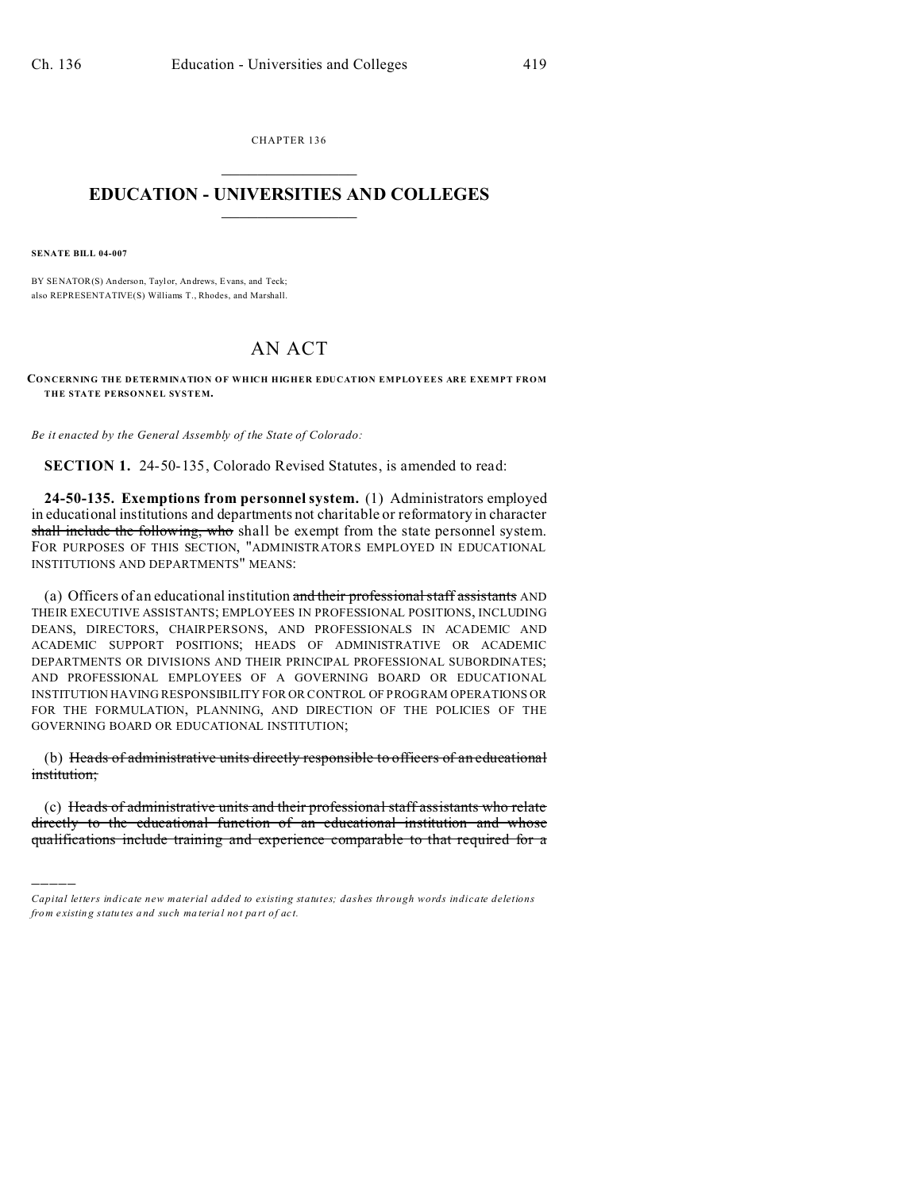CHAPTER 136  $\overline{\phantom{a}}$  , where  $\overline{\phantom{a}}$ 

## **EDUCATION - UNIVERSITIES AND COLLEGES**  $\frac{1}{2}$  ,  $\frac{1}{2}$  ,  $\frac{1}{2}$  ,  $\frac{1}{2}$  ,  $\frac{1}{2}$  ,  $\frac{1}{2}$  ,  $\frac{1}{2}$

**SENATE BILL 04-007**

)))))

BY SENATOR(S) Anderson, Taylor, An drews, Evans, and Teck; also REPRESENTATIVE(S) Williams T., Rhodes, and Marshall.

## AN ACT

**CONCERNING THE DETERMINATION OF WHICH HIGHER EDUCATION EMPLOYEES ARE EXEMPT FROM THE STATE PERSONNEL SYSTEM.**

*Be it enacted by the General Assembly of the State of Colorado:*

**SECTION 1.** 24-50-135, Colorado Revised Statutes, is amended to read:

**24-50-135. Exemptions from personnel system.** (1) Administrators employed in educational institutions and departments not charitable or reformatory in character shall include the following, who shall be exempt from the state personnel system. FOR PURPOSES OF THIS SECTION, "ADMINISTRATORS EMPLOYED IN EDUCATIONAL INSTITUTIONS AND DEPARTMENTS" MEANS:

(a) Officers of an educational institution and their professional staff assistants AND THEIR EXECUTIVE ASSISTANTS; EMPLOYEES IN PROFESSIONAL POSITIONS, INCLUDING DEANS, DIRECTORS, CHAIRPERSONS, AND PROFESSIONALS IN ACADEMIC AND ACADEMIC SUPPORT POSITIONS; HEADS OF ADMINISTRATIVE OR ACADEMIC DEPARTMENTS OR DIVISIONS AND THEIR PRINCIPAL PROFESSIONAL SUBORDINATES; AND PROFESSIONAL EMPLOYEES OF A GOVERNING BOARD OR EDUCATIONAL INSTITUTION HAVING RESPONSIBILITY FOR OR CONTROL OF PROGRAM OPERATIONS OR FOR THE FORMULATION, PLANNING, AND DIRECTION OF THE POLICIES OF THE GOVERNING BOARD OR EDUCATIONAL INSTITUTION;

(b) Heads of administrative units directly responsible to officers of an educational institution;

(c) Heads of administrative units and their professional staff assistants who relate directly to the educational function of an educational institution and whose qualifications include training and experience comparable to that required for a

*Capital letters indicate new material added to existing statutes; dashes through words indicate deletions from e xistin g statu tes a nd such ma teria l no t pa rt of ac t.*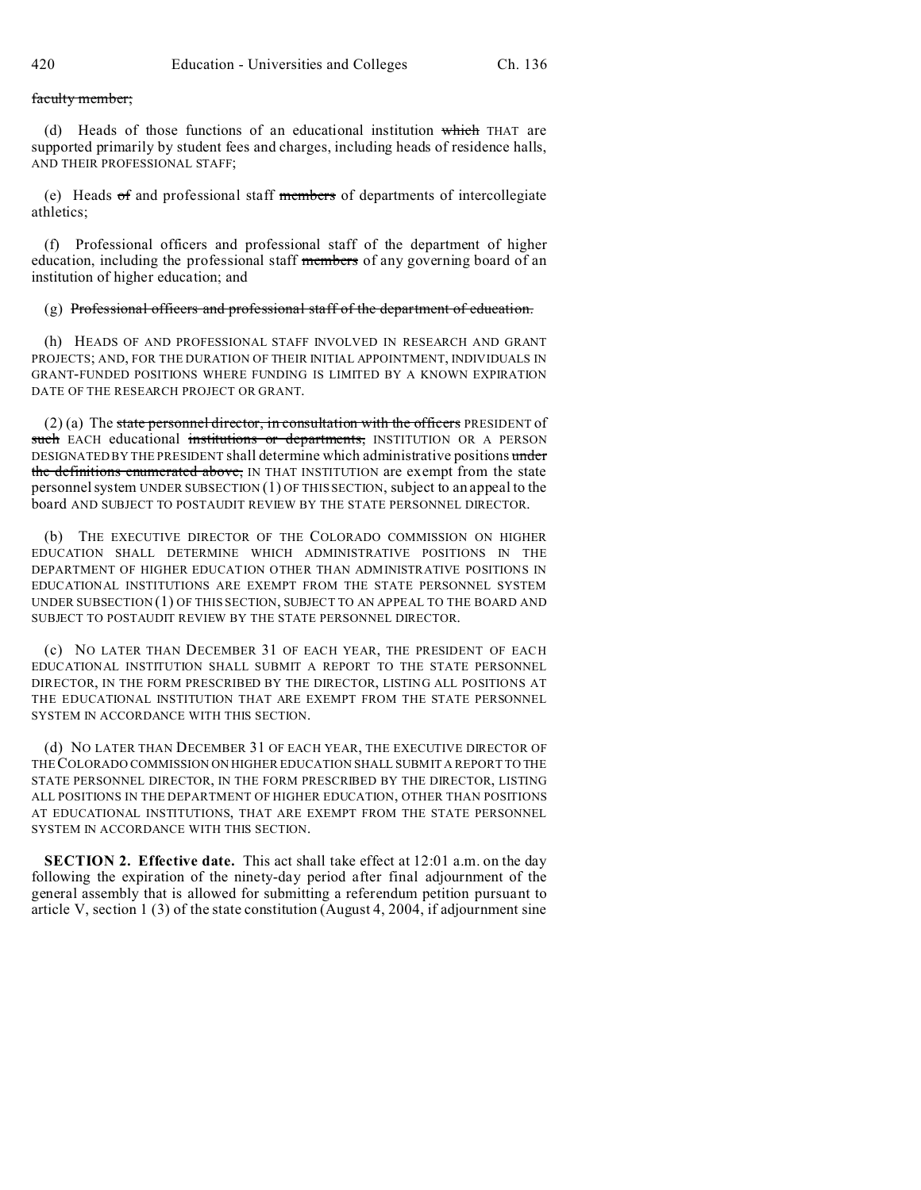faculty member;

(d) Heads of those functions of an educational institution which THAT are supported primarily by student fees and charges, including heads of residence halls, AND THEIR PROFESSIONAL STAFF;

(e) Heads of and professional staff members of departments of intercollegiate athletics;

(f) Professional officers and professional staff of the department of higher education, including the professional staff members of any governing board of an institution of higher education; and

## (g) Professional officers and professional staff of the department of education.

(h) HEADS OF AND PROFESSIONAL STAFF INVOLVED IN RESEARCH AND GRANT PROJECTS; AND, FOR THE DURATION OF THEIR INITIAL APPOINTMENT, INDIVIDUALS IN GRANT-FUNDED POSITIONS WHERE FUNDING IS LIMITED BY A KNOWN EXPIRATION DATE OF THE RESEARCH PROJECT OR GRANT.

 $(2)$  (a) The state personnel director, in consultation with the officers PRESIDENT of such EACH educational institutions or departments, INSTITUTION OR A PERSON DESIGNATED BY THE PRESIDENT shall determine which administrative positions under the definitions enumerated above, IN THAT INSTITUTION are exempt from the state personnel system UNDER SUBSECTION (1) OF THIS SECTION, subject to an appeal to the board AND SUBJECT TO POSTAUDIT REVIEW BY THE STATE PERSONNEL DIRECTOR.

(b) THE EXECUTIVE DIRECTOR OF THE COLORADO COMMISSION ON HIGHER EDUCATION SHALL DETERMINE WHICH ADMINISTRATIVE POSITIONS IN THE DEPARTMENT OF HIGHER EDUCATION OTHER THAN ADMINISTRATIVE POSITIONS IN EDUCATIONAL INSTITUTIONS ARE EXEMPT FROM THE STATE PERSONNEL SYSTEM UNDER SUBSECTION (1) OF THIS SECTION, SUBJECT TO AN APPEAL TO THE BOARD AND SUBJECT TO POSTAUDIT REVIEW BY THE STATE PERSONNEL DIRECTOR.

(c) NO LATER THAN DECEMBER 31 OF EACH YEAR, THE PRESIDENT OF EACH EDUCATIONAL INSTITUTION SHALL SUBMIT A REPORT TO THE STATE PERSONNEL DIRECTOR, IN THE FORM PRESCRIBED BY THE DIRECTOR, LISTING ALL POSITIONS AT THE EDUCATIONAL INSTITUTION THAT ARE EXEMPT FROM THE STATE PERSONNEL SYSTEM IN ACCORDANCE WITH THIS SECTION.

(d) NO LATER THAN DECEMBER 31 OF EACH YEAR, THE EXECUTIVE DIRECTOR OF THECOLORADO COMMISSION ON HIGHER EDUCATION SHALL SUBMIT A REPORT TO THE STATE PERSONNEL DIRECTOR, IN THE FORM PRESCRIBED BY THE DIRECTOR, LISTING ALL POSITIONS IN THE DEPARTMENT OF HIGHER EDUCATION, OTHER THAN POSITIONS AT EDUCATIONAL INSTITUTIONS, THAT ARE EXEMPT FROM THE STATE PERSONNEL SYSTEM IN ACCORDANCE WITH THIS SECTION.

**SECTION 2. Effective date.** This act shall take effect at 12:01 a.m. on the day following the expiration of the ninety-day period after final adjournment of the general assembly that is allowed for submitting a referendum petition pursuant to article V, section 1 (3) of the state constitution (August 4, 2004, if adjournment sine